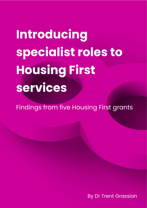**Introducing specialist roles to Housing First services**

Findings from five Housing First grants

By Dr Trent Grassian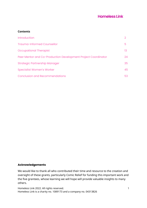#### **Contents**

| <b>Introduction</b>                                           |     |
|---------------------------------------------------------------|-----|
| Trauma-Informed Counsellor                                    | 5   |
| Occupational Therapist                                        | 13. |
| Peer Mentor and Co-Production Development Project Coordinator | 24  |
| <b>Strategic Partnership Manager</b>                          | 35  |
| <b>Specialist Women's Worker</b>                              | 45  |
| <b>Conclusion and Recommendations</b>                         | 53  |

## **Acknowledgements**

We would like to thank all who contributed their time and resource to the creation and oversight of these grants, particularly Comic Relief for funding this important work and the five grantees, whose learning we will hope will provide valuable insights to many others.

Homeless Link 2022. All rights reserved. 1 Homeless Link is a charity no. 1089173 and a company no. 04313826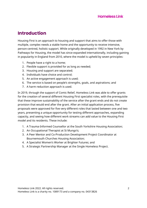# **Introduction**

Housing First is an approach to housing and support that aims to offer those with multiple, complex needs a stable home and the opportunity to receive intensive, person-centred, holistic support. While originally developed in 1992 in New York by Pathways for Housing, the model has since expanded internationally, including gaining in popularity in England from 2010, where the model is upheld by seven principles:

- 1. People have a right to a home;
- 2. Flexible support is provided for as long as needed;
- 3. Housing and support are separated;
- 4. Individuals have choice and control;
- 5. An active engagement approach is used;
- 6. The service is based on people's strengths, goals, and aspirations; and
- 7. A harm reduction approach is used.

In 2019, through the support of Comic Relief, Homeless Link was able to offer grants for the creation of several different Housing First specialist roles, with the prerequisite that these improve sustainability of the service after the grant ends and do not create provision that would end after the grant. After an initial application process, five proposals were approved for five very different roles that lasted between one and two years, presenting a unique opportunity for testing different approaches, expanding capacity, and seeing how different work streams can add value to the Housing First model and its residents. These include:

- 1. A Trauma-Informed Counsellor at the South Yorkshire Housing Association;
- 2. An Occupational Therapist at St Mungo's;
- 3. A Peer Mentor and Co-Production Development Project Coordinator at Bournemouth Churches Housing Association;
- 4. A Specialist Women's Worker at Brighter Futures; and
- 5. A Strategic Partnership Manager at the Single Homeless Project.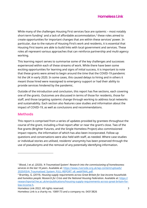While many of the challenges Housing First services face are systemic – most notably short-term funding<sup>1</sup> and a lack of affordable accommodation,<sup>2</sup> these roles aimed to create opportunities for important changes that are within these services' power. In particular, due to the nature of Housing First's work and residents, it is essential that Housing First teams are able to build links with local government and services. These roles all represent various approaches that can reinforce partnership and multi-agency working.

This learning report serves to summarise some of the key challenges and successes experienced within each of these streams of work. While there have been some exciting opportunities for learning and signs of initial success, it is important to note that these grants were aimed to begin around the time that the COVID-19 pandemic hit the UK in early 2020. In some cases, this caused delays to hiring and in others it meant those hired were reassigned to emergency support or had their ability to provide services hindered by the pandemic.

Outside of the introduction and conclusion, this report has five sections, each covering one of the grants. Outcomes are discussed in terms of those for residents, those for staff, and those targeting systemic change through working to address local networks and sustainability. Each section also features case studies and information about the impact of COVID-19, as well as conclusions and recommendations.

# **Methods**

This report is comprised from a series of updates provided by grantees throughout the course of the grant, including a final report after or near the grant's close. Two of the five grants (Brighter Futures, and the Single Homeless Project) also commissioned impact reports, the information of which has also been incorporated. Follow up questions and conversations were also held with staff, as needed. Where case studies or individual stories are utilised, residents' anonymity has been preserved through the use of pseudonyms and the removal of any potentially identifying information.

Homeless Link 2022. All rights reserved. 3

Homeless Link is a charity no. 1089173 and a company no. 04313826

<sup>1</sup> Blood, I et al. (2020). *'A Traumatised System': Research into the commissioning of homelessness services in the last 10 years.* Available at: [https://www.riverside.org.uk/wp-content/uploads/](https://www.riverside.org.uk/wp-content/uploads/2020/03/A_Traumatised_System_FULL-REPORT_v8_webFINAL.pdf) [2020/03/A\\_Traumatised\\_System\\_FULL-REPORT\\_v8\\_webFINAL.pdf.](https://www.riverside.org.uk/wp-content/uploads/2020/03/A_Traumatised_System_FULL-REPORT_v8_webFINAL.pdf)

<sup>2</sup> Bramley, G. (2019). *Housing supply requirements across Great Britain for low-income households*  and homeless people: Research for Crisis and the National Housing Federation. Available at: [https://](https://researchportal.hw.ac.uk/en/publications/housing-supply-requirements-across-great-britain-for-low-income-h) [researchportal.hw.ac.uk/en/publications/housing-supply-requirements-across-great-britain-for](https://researchportal.hw.ac.uk/en/publications/housing-supply-requirements-across-great-britain-for-low-income-h)[low-income-h.](https://researchportal.hw.ac.uk/en/publications/housing-supply-requirements-across-great-britain-for-low-income-h)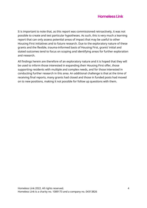It is important to note that, as this report was commissioned retroactively, it was not possible to create and test particular hypotheses. As such, this is very much a learning report that can only assess potential areas of impact that may be useful to other Housing First initiatives and to future research. Due to the exploratory nature of these grants and the flexible, trauma-informed basis of Housing First, grants' initial and stated outcomes tend to focus on scoping and identifying areas for further exploration and research.

All findings herein are therefore of an exploratory nature and it is hoped that they will be used to inform those interested in expanding their Housing First offer, those supporting residents with multiple and complex needs, and for those interested in conducting further research in this area. An additional challenge is that at the time of receiving final reports, many grants had closed and those in funded posts had moved on to new positions, making it not possible for follow up questions with them.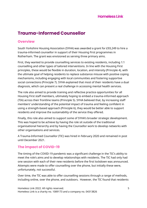# **Trauma-Informed Counsellor**

## **Overview**

South Yorkshire Housing Association (SYHA) was awarded a grant for £93,249 to hire a trauma-informed counsellor in support of their Housing First programmes in Rotherham. The grant was envisioned as serving three primary aims.

First, they wanted to provide counselling services to existing residents, including 1:1 counselling and other types of tailored interventions. In line with the Housing First principles, these would be flexible in duration, location, and intensity (Principle 4), with the ultimate goal of helping residents to replace substance misuse with positive coping mechanisms, including engaging with local communities and fostering supportive social connections (Principle 7). SYHA explained that most of their residents have a dual diagnosis, which can present a real challenge in accessing mental health services.

The role also aimed to provide training and reflective practice opportunities for all Housing First staff members, ultimately hoping to embed a trauma-informed approach (TIA) across their frontline teams (Principle 5). SYHA believed that, by increasing staff members' understanding of the potential impact of trauma and feeling confident in using a strength-based approach (Principle 6), they would be better able to support residents and improve the sustainability of the service they offered.

Finally, this role also aimed to support some of SYHA's broader strategic development. This was hoped to be achieve by having the role sit outside of the traditional organisational hierarchy and by having the Counsellor work to develop networks with other organisations and services.

A Trauma-Informed Counsellor (TIC) was hired in February 2020 and remained in post until December 2021.

# **The impact of COVID-19**

The timing of the COVID-19 pandemic was a significant challenge in the TIC's ability to meet the role's aims and to develop relationships with residents. The TIC had only had one session with each of their new residents before the first lockdown was announced. Attempts were made to offer counselling over the phone, but initially these were, unfortunately, not successful.

Over time, the TIC was able to offer counselling sessions through a range of methods, including online, over the phone, and outdoors. However, the TIC found that residents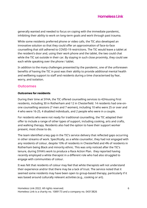generally wanted and needed to focus on coping with the immediate pandemic, inhibiting their ability to work on long-term goals and work through past trauma.

While some residents preferred phone or video calls, the TIC also developed an innovative solution so that they could offer an approximation of face-to-face counselling that still adhered to COVID-19 restrictions. The TIC would leave a tablet at the resident's door and, using their work phone and the tablet, the two could chat while the TIC sat outside in their car. By staying in such close proximity, they could see each while speaking over the phone / tablet.

In addition to the many challenges presented by the pandemic, one of the unforeseen benefits of having the TIC in post was their ability to provide additional mental health and wellbeing support to staff and residents during a time characterised by fear, worry, and isolation.

## **Outcomes**

#### **Outcomes for residents**

During their time at SYHA, the TIC offered counselling services to 42Housing First residents, including 30 in Rotherham and 12 in Chesterfield. 14 residents had one-onone counselling sessions (7 men and 7 women), including 10 who were 25 or over and 4 who were 16-25, 4 disabled individuals, and 2 people who were in a couple.

For residents who were not ready for traditional counselling, the TIC adapted their offer to include a range of other types of support, including cooking, arts and crafts, and walking therapy. Residents also had the option to have their support worker present, most chose to do.

The team identified a key gap in the TIC's service delivery that reflected gaps occurring in other streams of work. Specifically, as a white counsellor, they had not engaged with any residents of colour, despite 10% of residents in Chesterfield and 4% of residents in Rotherham being Black and minority ethnic. This was only noticed after the TIC's tenure, during SYHA's work to produce a Race Action Plan. they reported having recently employed a white therapist in a different role who had also struggled to engage with communities of colour.

It was felt that residents of colour may feel that white therapists will not understand their experience and/or that there may be a lack of trust. The service noted that it seemed some residents may have been open to group-based therapy, particularly if it was based around culturally relevant activities (e.g., cooking or art).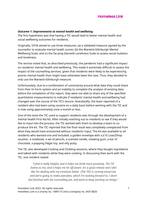#### *Outcome 1: Improvements to mental health and wellbeing*

The first hypothesis was that having a TIC would lead to better mental health and social wellbeing outcomes for residents.

Originally, SYHA aimed to use three measures: (a) a validated measure agreed by the counsellor to evaluate mental health scores; (b) the Warwick-Edinburgh Mental Wellbeing Scale; and (c) the De Jong Gierveld Loneliness Scale to assess social isolation and loneliness.

The service noted that, as described previously, the pandemic had a significant impact on residents' mental health and wellbeing. This made it extremely difficult to assess the impact of the counselling services, given that residents were likely to be experiencing poorer mental health than might have otherwise been the case. Thus, they decided to only use the Warwick-Edinburgh measure.

Unfortunately, due to a combination of uncertainty around what data they could share from their In-Form system and an inability to complete the analysis of existing data before the completion of this report, they were not able to share any of the specified quantitative measurements to indicate if residents' mental health and wellbeing had changed over the course of the TIC's tenure. Anecdotally, the team reported of a resident who had been using cocaine on a daily basis before working with the TIC and is now using approximately once a month or less.

One of the tools the TIC used to support residents was through the development of a mental health First Aid Kit. After initially reaching out to residents to see if they would like to input into the process, the TIC worked with them to develop a team to coproduce the kit. The TIC reported that the final result was completely unexpected from what they would have envisioned without residents' input. The kit was available to all residents who wanted one and included: a golden envelope with a £10 Love2Shop voucher, a notebook, a set of pencils, a scented candle, chewing gum, a bar of chocolate, a popping fidget toy, and silly putty.

The TIC also developed Cooking and Chatting sessions, where they bought ingredients and talked with residents while they were cooking. In discussing their work with the TIC, one resident stated:

*"I find it really helpful, and it helps me think more positively. The TIC listens to me, and it helps me let off steam. It's a good release and I feel like I'm dealing with my emotions better. [The TIC] is coming tomorrow and we're going to make pancakes, which I'm looking forward to. I don't feel finished with the counselling yet, and want to keep working on things."*

Homeless Link 2022. All rights reserved. 7 Homeless Link is a charity no. 1089173 and a company no. 04313826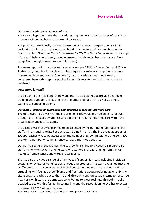#### *Outcome 2: Reduced substance misuse*

The second hypothesis was that, by addressing their trauma and causes of substance misuse, residents' substance use would decrease.

The programme originally planned to use the World Health Organisation's ASSIST evaluation tool to assess this outcome but decided to instead use the Chaos Index (a.k.a. the New Directions Team Assessment / NDT). The Chaos Index relates to a range of areas of behavioural need, including mental health and substance misuse. Scores range from zero (low need) to four (high need).

The team reported that scores reduced an average of 38% in Chesterfield and 20% in Rotherham, though it is not clear to what degree this reflects changes in substance misuse. As discussed above (Outcome 1), data analysis also was not formally completed before this report's publication so this reported reduction could not be validated.

#### **Outcomes for staff**

In addition to their resident-facing work, the TIC also worked to provide a range of training and support for Housing First and other staff at SYHA, as well as others working to support residents.

### *Outcome 3: Increased awareness and adoption of trauma-informed care*

The third hypothesis was that the inclusion of a TIC would provide benefits for staff through the increased awareness and adoption of trauma-informed care within the organisation and local systems.

Increased awareness was planned to be assessed by the number of (a) Housing First staff and (b) housing-related support staff trained in a TIA. The increased adoption of TIC approaches was to be assessed by the number of (c) commissioners briefed in TIC and (d) the number of commissioned services informed about TIC.

During their tenure, the TIC was able to provide training to 8 Housing First frontline staff and 40 wider SYHA frontline staff, who worked in areas ranging from mental health to homelessness and work and wellbeing.

Homeless Link 2022. All rights reserved. 8 The TIC also provided a range of other types of support for staff, including individual sessions to review residents' support needs and progress. The team explained that one staff member had been experiencing challenges working with one resident and was struggling with feelings of self-blame and frustrations about not being able to 'fix' the situation. She reached out to the TIC and, through a one-on-session, came to recognise how her own history of trauma was contributing to these feelings. Through this she decided to explore this further in counselling and the recognition helped her to better

Homeless Link is a charity no. 1089173 and a company no. 04313826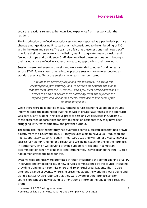separate reactions related to her own lived experience from her work with the resident.

The introduction of reflective practice sessions was reported as a particularly positive change amongst Housing First staff that had contributed to the embedding of TIC within the team and service. The team also felt that these sessions had helped staff prioritise their own self-care and wellbeing, leading to greater team cohesion and feelings of hope and confidence. Staff also described these sessions contributing to their using a more reflective, rather than reactive, approach in their own work.

Sessions were held every two weeks and were extended to other frontline teams across SYHA. It was stated that reflective practice sessions are now embedded as standard practice. About the sessions, one team member stated:

> *"I found them extremely useful and well facilitated. The group was encouraged to form naturally, and we all value the sessions and plan to continue them [after the TIC leaves]. I had a few client bereavements and it helped to be able to discuss them outside my team and reflect on the support given and look at the process, which helped take some of the emotion out of it all".*

While there were no identified measurements for assessing the adoption of traumainformed care, the team noted that the impact of greater awareness of the approach was particularly evident in reflective practice sessions. As discussed in Outcome 2, these presented opportunities for staff to reflect on residents they may have been struggling with, foster empathy, and prevent burnout.

The team also reported that they had submitted some successful bids that had drawn directly from the TIC's work. In 2021, they secured a bid to have a Co-Production and Peer Support Service, which began in February 2022 and will run for 2 years. They also successfully bid for funding for a Health and Wellbeing coach for one of their projects in Rotherham, which will serve to provide support for residents in temporary accommodation when moving into long-term homes. They explained that the TIC role had demonstrated the need for this.

Systems-wide changes were promoted through influencing the commissioning of a TIA in services and embedding TIA in new services commissioned by the council, including providing training to 4 commissioners and 10 external organisations. The TIC also attended a range of events, where she presented about the work they were doing and using a TIA. SYHA also reported that they were aware of other projects and/or counsellors who are now looking to offer trauma-informed therapy to their resident group.

Homeless Link 2022. All rights reserved. 9 Homeless Link is a charity no. 1089173 and a company no. 04313826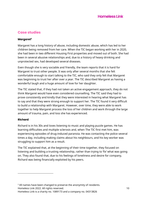# **Case studies**

## **Margaret<sup>3</sup>**

Margaret has a long history of abuse, including domestic abuse, which has led to her children being removed from her care. When the TIC began working with her in 2020, she had been in two different Housing First properties and moved out of both. She had been in several abusive relationships and, due to a history of heavy drinking and unprotected sex, had developed several diseases.

Even though she is very sociable and friendly, the team reports that it is hard for Margaret to trust other people. It was only after several months that she felt comfortable enough to start talking to the TIC, who said they only felt that Margaret was beginning to trust her after over a year. The TIC described Margaret as having a wonderful laugh and a huge amount of love for her daughter.

The TIC stated that, if they had not taken an active engagement approach, they do not think Margaret would have even considered counselling. The TIC said they had to prove consistently and kindly that they were interested in hearing what Margaret has to say and that they were strong enough to support her. The TIC found it very difficult to build a relationship with Margaret. However, over time, they were able to work together to help Margaret process the loss of her children and work through the large amount of trauma, pain, and loss she has experienced.

### **Richard**

Richard is in his 30s and loves listening to music and playing puzzle games. He has learning difficulties and multiple sclerosis and, when The TIC first met him, was experiencing episodes of drug-induced paranoia. He was contacting the police several times a day, including making claims about his neighbours, and his key worker was struggling to support him as a result.

The TIC explained that, at the beginning of their time together, they focused on listening and building a trusting relationship, rather than trying to 'fix' what was going on. They also found that, due to his feelings of loneliness and desire for company, Richard was being financially exploited by his peers.

Homeless Link 2022. All rights reserved. 10 <sup>3</sup> All names have been changed to preserve the anonymity of residents.

Homeless Link is a charity no. 1089173 and a company no. 04313826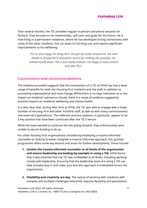Over several months, the TIC provided regular in-person and phone sessions for Richard. They focused on his relationships, self-care, and goals for the future. He is now living in a permanent residence, where he has developed strong connections with some of the other residents, has cut down on his drug use, and reports significant improvements to his wellbeing:

*"I'm so very happy I'm living here. I've got my mates around me. I've said thanks to [keyworkers] and police service for making this possible. I've calmed myself down. This is just totally brilliant. I'm happy to have contact with [the TIC]."*

# **Conclusions and recommendations**

The evidence provided suggests that the introduction of a TIC at SYHA has had a wide range of benefits for both the Housing First residents and the staff, in addition to promoting organisational and local change. While there is no clear indication as to the impact on residents' substance misuse, there is a range of evidence suggesting positive impacts on residents' wellbeing and mental health.

It is also clear that, during their time at SYHA, the TIC was able to engage with a large number of Housing First and other frontline staff, as well as with many commissioners and external organisations. The reflective practice sessions, in particular, appear to be a key positive that have been continued after the TIC's tenure.

While the team wanted to continue the role going forward, they unfortunately were unable to secure funding to do so.

For other Housing First organisations considering employing a trauma-informed counsellor or looking to better integrate a trauma-informed approach, this grantee programme offers some key lessons and areas for further development. These include:

- **1. Involve the trauma-informed counsellor at all levels of the organisation and ensure leadership are leading-by-example in using a TIA**. SYHA found that it was essential that the TIC was embedded at all levels, including working closely with leadership. Ensuring that the leadership team are using a TIA can help increase buy-in and make sure that this approach is embedded across the organisation.
- **2. Flexibility and creativity are key**. The nature of working with residents with complex and multiple challenges inherently requires flexibility and persistence

Homeless Link 2022. All rights reserved. 11 Homeless Link is a charity no. 1089173 and a company no. 04313826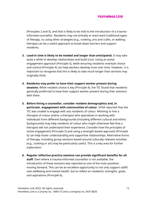(Principles 2 and 5), and that is likely to be vital to the introduction of a traumainformed counsellor. Residents may not (initially or ever) want traditional types of therapy, so using other strategies (e.g., cooking, arts and crafts, or walking therapy) can be a useful approach to break down barriers and support residents.

- **3. Lead-in time is likely to be needed and longer than anticipated**. It may take quite a while to develop relationships and build trust. Using an active engagement approach (Principle 5), while ensuring residents maintain choice and control (Principle 4) can help workers develop trust over time. However, it is important to recognise that this is likely to take much longer than services may originally think.
- **4. Residents may prefer to have their support worker present during sessions**. While resident choice is key (Principle 4), the TIC found that residents generally preferred to have their support worker present during their sessions with them.
- **5. Before hiring a counsellor, consider resident demographics and, in particular, engagement with communities of colour**. SYHA reported that the TIC was unable to engage with any residents of colour. Working to hire a therapist of colour and/or a therapist who specialises in working with individuals from different backgrounds (including different cultural and ethnic backgrounds) may help residents of colour who might otherwise feel that a therapist will not understand their experience. Consider how the principles of active engagement (Principle 5) and using a strength-based approach (Principle 6) can help foster understanding and supportive relationships. Alternative forms of therapy, including group sessions based around culturally relevant activities (e.g., cooking or art) may be particularly useful. This is a key area for further exploration.
- **6. Regular reflective practice sessions can provide significant benefits for all staff**. Even where a trauma-informed counsellor is not available, the introduction of these sessions was reported as one of the main positives moving forward. This can be an excellent opportunity to not only support staffs' own wellbeing and mental health, but to reflect on residents' strengths, goals, and aspirations (Principle 6).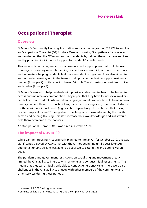# **Occupational Therapist**

## **Overview**

St Mungo's Community Housing Association was awarded a grant of £78,922 to employ an Occupational Therapist (OT) for their Camden Housing First pathway for one year. It was envisaged that the OT would support residents by helping them to access services and by providing individualised support for residents' specific needs.

This included conducting in-depth assessments and support plans that could be used to navigate necessary referrals, helping residents access mobility aids and other tools, and, ultimately, helping residents feel more confident living alone. They also aimed to support wider learning within the team to help provide the flexible support residents needed (Principle 2), while reducing harm (Principle 7) and maximising resident choice and control (Principle 4).

St Mungo's wanted to help residents with physical and/or mental health challenges to access and maintain accommodation. They report that they have found social workers can believe that residents who need housing adjustments will not be able to maintain a tenancy and are therefore reluctant to agree to care packages (e.g., bathroom fixtures) for those with additional needs (e.g., alcohol dependency). It was hoped that having resident support by an OT, being able to use language norms adopted by the health sector, and helping Housing First staff increase their own knowledge and skills would help them overcome these barriers.

An Occupational Therapist (OT) was hired in October 2020.

# **The impact of COVID-19**

While Camden Housing First originally planned to hire an OT for October 2019, this was significantly delayed by COVID-19, with the OT not beginning until a year later. An additional funding stream was able to be sourced to extend the end date to March 2022.

The pandemic and government restrictions on socialising and movement greatly limited the OT's ability to interact with residents and conduct initial assessments. This meant that they were initially only able to conduct emergency visits. There were also challenges in the OT's ability to engage with other members of the community and other services during these periods.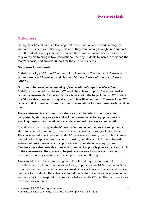## **Outcomes**

During their time at Camden Housing First, the OT was able to provide a range of support to residents and Housing First staff. They were initially brought in to support the 50 residents already in tenancies. When the number of residents increased to 72, they were able to bring in two Occupational Therapy students to increase their and the team's capacity and provide support for the 22 new residents.

#### **Outcomes for residents**

In their capacity as OT, the OT worked with 19 residents (7 women and 12 men), all of whom were over 25 years old and disabled. Of these, 5 were of colour and 2 were LGBTQ+.

#### *Outcome 1: Improved understanding of own goals and steps to achieve them*

Initially, it was hoped that the new OT would be able to support 15 comprehensive resident assessments. By the end of their tenure, with the help of the two OT students, the OT was able to exceed this goal and complete 18 assessments. These included OT reports outlining residents' needs and recommendations for how these needs could be met.

These assessments are more comprehensive than that which would have been completed by statutory services and included assessments for equipment needs, enabling these to be sourced before residents moved into new accommodation.

In addition to improving residents' own understanding of their needs and potential steps to achieve future goals, these assessments have had a range of other benefits. They have served as evidence of residents' medical and housing needs, which in turn has helped with applications for council housing, benefits, and PIP. It also helped to ensure residents have access to appropriate accommodation and equipment. Residents have also been able to receive more medical priority points as a direct result of the assessments. They have also helped case workers to understand residents' needs and how they can improve the support they are offering.

Assessments have also led to a range of referrals and requests for General Practitioners (GPs) to make referrals, including to podiatry and NHS OT services. Staff reported that the assessments have also made it easier to access services and receive feedback for residents. They also have found that statutory services have been quicker and more willing to respond to requests for help from the OT than they had previously been with caseworkers.

Homeless Link 2022. All rights reserved. 14 Homeless Link is a charity no. 1089173 and a company no. 04313826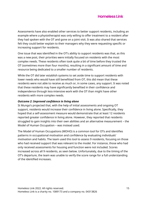Assessments have also enabled other services to better support residents, including an example where a physiotherapist was only willing to offer treatment to a resident after they had spoken with the OT and gone on a joint visit. It was also shared that services felt they could better explain to their managers why they were requesting specific or increasing support for residents.

One issue that was identified in the OT's ability to support residents was that, as this was a new post, their priorities were initially focused on residents with the most complex needs. These residents often took quite a bit of time before they trusted the OT (sometimes more than four months), resulting in a significant amount of time and resource being dedicated to a smaller number of residents.

While the OT did later establish systems to set aside time to support residents with lower needs who would have still benefitted from OT, this did mean that these residents were not able to receive as much or, in some cases, any support. It was noted that these residents may have significantly benefited in their confidence and independence through less-intensive work with the OT than might have other residents with more complex needs.

#### *Outcome 2: Improved confidence in living alone*

St Mungo's projected that, with the help of initial assessments and ongoing OT support, residents would increase their confidence in living alone. Specifically, they hoped that a self-assessment measure would demonstrate that at least 12 residents reported greater confidence in living alone. However, they reported that residents struggled to gain insights into their own abilities and an alternative measurement – the Model of Human Occupation – was instead used.

The Model of Human Occupations (MOHO) is a common tool for OTs and identifies patterns in occupational motivation and confidence by evaluating individuals' motivation and habits. The team used this tool to assess 9 residents, focusing on those who had received support that was relevant to the model. For instance, those who had only received assessments for housing and function were not included. Scores increased across all 9 residents, as seen below. Unfortunately, due to the timing of the OT's departure, the team was unable to verify the score range for a full understanding of the identified increases.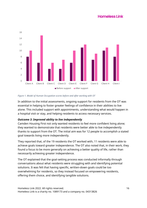

#### *Figure 1. Model of Human Occupation scores before and after working with OT*

In addition to the initial assessments, ongoing support for residents from the OT was essential in helping to foster greater feelings of confidence in their abilities to live alone. This included support with appointments, understanding what would happen in a hospital visit or stay, and helping residents to access necessary services.

### *Outcome 3: Improved ability to live independently*

Camden Housing First not only wanted residents to feel more confident living alone; they wanted to demonstrate that residents were better able to live independently thanks to support from the OT. The initial aim was for 12 people to accomplish a stated goal towards living more independently.

They reported that, of the 19 residents the OT worked with, 11 residents were able to achieve goals toward greater independence. The OT also noted that, in their work, they found a focus to be more generally on achieving a better quality of life, rather than necessarily achieving greater independence.

The OT explained that the goal-setting process was conducted informally through conversations about what residents were struggling with and identifying potential solutions. It was felt that having specific, written-down goals could be too overwhelming for residents, so they instead focused on empowering residents, offering them choice, and identifying tangible solutions.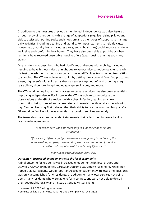In addition to the measures previously mentioned, independence was also fostered through providing residents with a range of adaptations (e.g., leg raising pillows and aids to assist with putting socks and shoes on) and other types of supports to manage daily activities, including cleaning and laundry. For instance, items to help de-clutter houses (e.g., laundry baskets, clothes airers, and rubbish bins) could improve residents' wellbeing and comfort in their homes. They have also been able to push back when residents have received unsuitable housing offers (e.g., housing that has too many stairs).

One resident was described who had significant challenges with mobility, including needing to have his legs raised at night due to venous ulcers, not being able to reach his feet to wash them or put shoes on, and having difficulties transitioning from sitting to standing. The OT was able to assist him by getting him a ground floor flat, procuring a new, higher sofa with solid arms that was easier to get out of, and ordering a leg raise pillow, shoehorn, long-handled sponge, sock aides, and more.

The OT's work in helping residents access necessary services has also been essential in improving independence. For instance, the OT was able to communicate their observations to the GP of a resident with a chest infection, leading to a new prescription being granted and a new referral to mental health services the following day. Camden Housing First believed that their ability to use the 'common language' a GP would be familiar with was essential in accessing services so quickly.

The team also shared some resident statements that reflect their increased ability to live more independently:

> *"It is easier now. The bathroom stuff is a lot easier now. I'm not struggling."*

*"[I received] different gadgets to help me with getting in and out of the bath, washing properly, opening tins, electric shaver, laptop for online activities and shopping which made daily life easier."*

*"Many people would benefit from this."*

#### *Outcome 4: Increased engagement with the local community*

A final outcome for residents was increased engagement with local groups and activities. COVID-19 made this particular outcome extremely challenging. While they hoped that 12 residents would report increased engagement with local amenities, this was only accomplished for 6 residents. In addition to many local services not being open, many residents who were able to form connections were not able to do so in their geographic locality and instead attended virtual events.

Homeless Link 2022. All rights reserved. 17 Homeless Link is a charity no. 1089173 and a company no. 04313826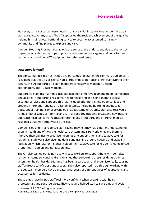However, some successes were noted in this area. For instance, one resident-led goal was 'to rediscover my area'. The OT supported the resident achievement of this goal by helping him join a local befriending service to become accustomed to his new community and find places to explore and visit.

Camden Housing First was also able to use some of the underspend due to the lack of in-person activities and groups to procure vouchers for local gyms and pools for ten residents and additional IT equipment for other residents.

### **Outcomes for staff**

Though St Mungo's did not include any outcomes for staff in their primary outcomes, it is evident that the OT's presence had a large impact on Housing First staff. During their tenure, the OT supported 14 staff members (one service manager, 3 team coordinators, and 10 case workers).

Support for staff internally has included helping to improve team members' confidence and abilities in supporting residents' health needs and in helping them to access essential services and support. This has included offering training opportunities and creating information sheets on a range of topics, including hoarding and hospital packs and a training from a psychologist about complex trauma. Staff also received a range of other types of informal and formal support, including discussing how best to approach hospital teams, request different types of support, and interpret medical responses that may otherwise be unclear.

Camden Housing First reported staff saying they felt they had a better understanding around health and of how the healthcare system and NHS work, enabling them to improve their abilities to organise meetings and appointments and to advocate for residents. Staff were also given guidance and training around housing and disability legislation, which has, for instance, helped them to advocate for residents' rights to see properties in person and not just on-line.

The OT also carried out joint visits with case workers to support them with complex residents. Camden Housing First explained that supporting these residents at times when their health has deteriorated has been a particular challenge historically, causing staff a great deal of stress and anxiety. They also reported that, through working with the OT, team members have a greater awareness of different types of adaptations and accessories for residents.

Homeless Link 2022. All rights reserved. 18 Homeless Link is a charity no. 1089173 and a company no. 04313826 These steps have helped staff feel more confident when speaking with health professionals and social services. They have also helped staff to save time and avoid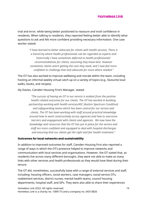trial and error, while being better positioned to reassure and instil confidence in residents. When talking to residents, they reported feeling better able to identify what questions to ask and felt more confident providing necessary information. One case worker stated:

> *"I have learned to better advocate for clients with health services. There is a hierarchy where health professionals can be regarded as experts and historically I have sometimes deferred to health professionals' recommendations for clients, assuming they know best. However sometimes clients aren't getting the care they need, and I now feel more confident to challenge that and advocate for more where needed."*

The OT has also worked to improve wellbeing and morale within the team, including hosting an informal weekly virtual catch up on a variety of topics (e.g., favourite local walks, books, and recipes).

Aly Davies, Camden Housing First's Manager, stated:

*"The success of having an OT in our service is evident from the positive health related outcomes for our clients. The OT has worked in building partnership working with health services/ASC [Autism Spectrum Condition] and safeguarding teams which has been central for our service and clients. The OT has been working with staff around practical knowledge around how to work constructively across agencies and how to overcome barriers and engagement with clients and agencies. We now have the knowledge and resources that the OT has put in place for the service and staff are more confident and equipped to deal with hospital discharges and ensuring that our clients get the right and fair health treatment."* 

### **Outcomes for local networks and sustainability**

In addition to improved outcomes for staff, Camden Housing First also reported a range of ways in which the OT's presence helped to improve networks and communication with local services and organisations. However, the OT stated that, as residents live across many different boroughs, they were not able to make as many links with other services and health professionals as they would have liked during their tenure.

The OT did, nonetheless, successfully liaise with a range of external services and staff, including: housing officers, social workers, case managers, social service OTs, reablement services, district nurses, mental health teams, council housing departments, hospital staff, and GPs. They were also able to share their experiences

Homeless Link 2022. All rights reserved. 19 Homeless Link is a charity no. 1089173 and a company no. 04313826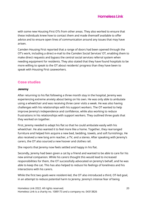with some new Housing First OTs from other areas. They also worked to ensure that these individuals knew how to contact them and made themself available to offer advice and to ensure open lines of communication around any issues that may have arisen.

Camden Housing First reported that a range of doors had been opened through the OT's work, including a direct e-mail to the Camden Social Services' OT, enabling them to make direct requests and bypass the central social services referral system when needing equipment for residents. They also stated that they have found hospitals to be more willing to speak to the OT about residents' progress than they have been to speak with Housing First caseworkers.

# **Case studies**

#### **Jeremy**

After returning to his flat following a three month stay in the hospital, Jeremy was experiencing extreme anxiety about being on his own. He was only able to ambulate using a wheelchair and was receiving three carer visits a week. He was also having challenges with his relationships with his support workers. The OT wanted to help improve Jeremy's independence and confidence, while also working to reduce frustrations in his relationships with support workers. They outlined three goals that they worked on together.

First, Jeremy needed to adapt his flat so that he could ambulate easily with his wheelchair. He also wanted it to feel more like a home. Together, they rearranged furniture and helped him acquire a new bed, bedding, towels, and soft furnishings. He also received a new long arm reacher, a TV, and a stereo. After speaking with Jeremy's carers, the OT also sourced a new hoover and clothes rail.

She reports that Jeremy now feels settled and happy in his flat.

Secondly, Jeremy had been given a cat by a friend and wanted to be able to care for his new animal companion. While his carers thought this would lead to increased responsibilities for them, the OT successfully advocated on Jeremy's behalf, and he was able to keep the cat. This has also helped to reduce his feelings of loneliness and his interactions with his carers.

While the first two goals were resident-led, the OT also introduced a third, OT-led goal, in an attempt to reduce potential harm to Jeremy. Jeremy's intense fear of being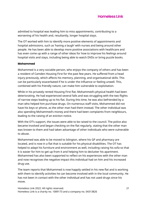admitted to hospital was leading him to miss appointments, contributing to a worsening of his health and, resultantly, longer hospital stays.

The OT worked with him to identify more positive elements of appointments and hospital admissions, such as 'having a laugh' with nurses and being around other people. He has been able to develop more positive associations with healthcare and has even come up with a range of other ideas for how to improve his feelings around hospital visits and stays, including being able to watch DVDs or bring puzzle books.

#### **Mohammed**

Mohammed is a very sociable person, who enjoys the company of others and has been a resident of Camden Housing First for the past few years. He suffered from a head injury previously, which affects his memory, planning, and organisational skills. This can be particularly exacerbated if he is under the influence or feeling unwell. This, combined with his friendly nature, can make him vulnerable to exploitation.

While in his privately rented Housing First flat, Mohammed's physical health had been deteriorating. He had experienced several falls and was struggling with the two flights of narrow steps leading up to his flat. During this time, he was also befriended by a man who helped him purchase drugs. On numerous staff visits, Mohammed did not have his keys or phone, as the other man had them instead. The other individual was also spending Mohammed's money and there had been complaints from neighbours, leading to the raising of an eviction notice.

With the OT's support, the issues were able to be raised to the council. The police also became involved and began checking on the flat regularly, stating that the other man was known to them and had taken advantage of other individuals who were vulnerable to abuse.

Mohammed was able to be moved to Islington, where his GP and pharmacy are located, and is now in a flat that is suitable for his physical disabilities. The OT has helped to adapt his furniture and environment as well, including raising his sofa so that it is easier for him to get up from it and helping him to declutter his apartment. Mohammed has also been supported to reflect on his experiences with the other man and now recognises the negative impact this individual had on him and his increased drug use.

The team reports that Mohammed is now happily settled in his new flat and is working with them to identify activities he can become involved with in the local community. He has not been in contact with the other individual and has not used drugs since his move.

Homeless Link 2022. All rights reserved. 21 Homeless Link is a charity no. 1089173 and a company no. 04313826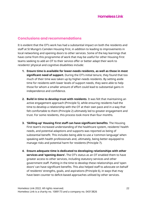# **Conclusions and recommendations**

It is evident that the OT's work has had a substantial impact on both the residents and staff at St Mungo's Camden Housing First, in addition to leading to improvements in local networking and opening doors to other services. Some of the key learnings that have come from this programme of work that may be useful for other Housing First teams seeking to add an OT to their service offer or better adapt their work to residents' physical and cognitive disabilities include:

- **1. Ensure time is available for lower-needs residents, as well as those in most significant need of support.** During the OT's initial tenure, they found that too much of their time was taken up by higher-needs residents. By setting aside time for residents with lower levels of support needs, they were able to help those for whom a smaller amount of effort could lead to substantial gains in independence and confidence.
- **2. Build in time to develop trust with residents**. It was felt that maintaining an active engagement approach (Principle 5), while ensuring residents had the time to develop a relationship with the OT at their own pace and in a way that felt comfortable to them (Principle 2) ultimately led to greater engagement and trust. For some residents, this process took more than four months.
- **3. 'Skilling-up' Housing First staff can have significant benefits**. The Housing First team's increased understanding of the healthcare system, residents' health needs, and potential adaptions and supports was reported as being of substantial benefit. This includes being able to use a 'common language' when speaking with health professionals and, ultimately, being better equipped to manage risks and potential harm for residents (Principle 7).
- **4. Ensure adequate time is dedicated to developing relationships with other services and 'opening doors'.** The OT's status as an OT enabled them to have greater access to other services, including statutory services and other government staff. Putting in the time to develop these relationships and 'open doors' can have significant benefits. This also helped staff to advocate on behalf of residents' strengths, goals, and aspirations (Principle 6), in ways that may have been counter to deficit-based approaches utilised by other services.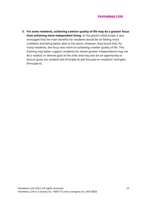**5. For some residents, achieving a better quality of life may be a greater focus than achieving more independent living.** In the grant's initial scope, it was envisaged that the main benefits for residents would be on feeling more confident and being better able to live alone. However, they found that, for many residents, the focus was more on achieving a better quality of life. This framing may better support residents for whom greater independence may not be a realistic or desired goal at this time and may also be an opportunity to ensure goals are resident-led (Principle 4) and focused on residents' strengths (Principle 6).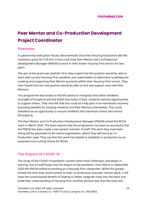# **Peer Mentor and Co-Production Development Project Coordinator**

## **Overview**

In partnership with Julian House, Bournemouth Churches Housing Association (BCHA) received a grant for £78,922 to hire a full-time Peer Mentor and Co-Production Development Manager (PMCM) to work in their Exeter Housing First service for two years.

The aim of the grant was twofold. First, they hoped that this position would be able to work with current Housing First residents and stakeholders to determine a pathway for creating and supporting Peer Mentor positions within their Housing First service. They then hoped that the new position would be able to hire and support nine new Peer Mentors.

This programme was based on BCHA's desire to recognise and utilise residents' strengths (Principle 6) and the belief that many of their residents wanted opportunities to support others. They also felt that this could be a key part of an individual's recovery, providing benefits for existing residents and Peer Mentors themselves. This could therefore be an opportunity to ensure residents had maximum choice and control (Principle 4).

The Peer Mentor and Co-Production Development Manager (PMCM) joined the BCHA team in March 2020. The team reports that the programme has been so successful that the PMCM has been made a permanent member of staff. The work they have been doing will be expanded to the entire organisation, where they will serve as Co-Production Lead. They say that this work has helped to establish co-production as an essential cross-cutting theme for BCHA.

# **The impact of COVID-19**

The onset of the COVID-19 pandemic caused some initial challenges and delays in starting. Due to staff losses and the impact of the pandemic, from March to September 2020 the PMCM shifted to working as a Housing First caseworker. While this greatly limited the time they could commit to their co-production and peer mentor work, it did have the unanticipated benefit of helping to better integrate them into the team and build their understanding of Housing First. Another positive was that this time also

Homeless Link 2022. All rights reserved. 24 Homeless Link is a charity no. 1089173 and a company no. 04313826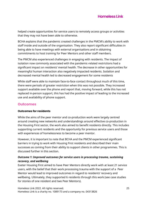helped create opportunities for service users to remotely access groups or activities that they may not have been able to otherwise.

BCHA explains that the pandemic created challenges in the PMCM's ability to work with staff inside and outside of the organisation. They also report significant difficulties in being able to have meetings with external organisations and in obtaining commitments to host training for Peer Mentors and other staff members.

The PMCM also experienced challenges in engaging with residents. The impact of isolation now commonly associated with the pandemic-related restrictions had a significant impact on residents' mental health. The decrease in other opportunities for meaningful human interaction also negatively impacted residents. Isolation and decreased mental health led to decreased engagement for some residents

While staff were able to maintain face-to-face contact throughout much of this time, there were periods of greater restriction when this was not possible. They increased support available over the phone and report that, moving forward, while this has not replaced in-person support, this has had the positive impact of leading to the increased use and availability of phone support.

## **Outcomes**

#### **Outcomes for residents**

While the aims of the peer mentor and co-production work were largely centred around creating new networks and understandings around effective co-production in the Housing First sector, the work also aimed to benefit residents directly. This includes supporting current residents and the opportunity for previous service users and those with experiences of homelessness to become a peer mentor.

However, it is important to note that BCHA and the PMCM experienced significant barriers in trying to work with Housing First residents and described their main successes as coming from their ability to support clients in other programmes. This is discussed further in this section.

## *Outcome 1: Improved outcomes for service users in processing trauma, sustaining recovery, and wellbeing*

Exeter Housing First aimed to have Peer Mentors directly work with at least 21 service users, with the belief that their work processing trauma with the support of a Peer Mentor would lead to improved outcomes in regard to residents' recovery and wellbeing. Ultimately, they supported 6 residents through this work (see case studies for stories of one resident and two Peer Mentors).

Homeless Link 2022. All rights reserved. 25 Homeless Link is a charity no. 1089173 and a company no. 04313826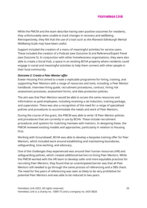While the PMCM and the team describe having seen positive outcomes for residents, they unfortunately were unable to track changes in recovery and wellbeing. Retrospectively, they felt that the use of a tool such as the Warwick-Edinburgh Mental Wellbeing Scale may have been useful.

Support included the creation of a menu of meaningful activities for service users. These included the creation of a Podcast (see Outcome 3) and Reference/Expert Panel (see Outcome 5). In conjunction with other homelessness organisations, they were also able to create a Social Hub, a space in an existing BCHA property where residents could engage in social and meaningful activities to help them connect with other people in their local community.

#### *Outcome 2: Create a Peer Mentor offer*

Exeter Housing First aimed to create a replicable programme for hiring, training, and supporting Peer Mentors with a range of resources and tools, including: a Peer Mentor handbook, interview hiring guide, recruitment procedures, contract, hiring risk assessment processes, assessment forms, and data protection policies.

The aim was that Peer Mentors would be able to access the same resources and information as paid employees, including receiving a set induction, training package, and supervision. There was also a recognition of the need for a range of specialised policies and procedures to accommodate the needs and work of Peer Mentors.

During the course of the grant, the PMCM was able to write 18 Peer Mentor policies and procedures that are currently in use by BCHA. These include recruitment procedures and systems for matching mentees with mentors. In designing these, the PMCM reviewed existing models and approaches, particularly in relation to Housing First.

Working with Groundswell, BCHA was able to develop a bespoke training offer for Peer Mentors, which included work around establishing and maintaining boundaries, safeguarding, lone working, and advocacy.

One of the challenges they experienced was around their human resources (HR) and safeguarding policies, which created additional barriers to hiring Peer Mentors. While the PMCM worked with the HR team to develop safer and more equitable practices for recruiting Peer Mentors, they found that an unanticipated barrier was that all Peer Mentors still needed to go through the same process of referencing and a DBS check. The need for five years of referencing was seen as likely to be very prohibitive for potential Peer Mentors and was able to be reduced to two years.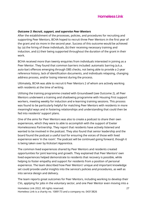#### *Outcome 3: Recruit, support, and supervise Peer Mentors*

After the establishment of the processes, policies, and procedures for recruiting and supporting Peer Mentors, BCHA hoped to recruit three Peer Mentors in the first year of the grant and six more in the second year. Success of this outcome would be achieved by: (a) the hiring of these individuals, (b) their receiving necessary training and induction, and (c) their being supported throughout the duration of the grant in their work.

BCHA received more than twenty enquiries from individuals interested in joining as a Peer Mentor. They found that common barriers included: automatic barring (a.k.a. auto-bar) offences emerging through DBS checks, not being able to provide a 2-year reference history, lack of identification documents, and individuals relapsing, changing address process, and/or losing interest during the process.

Ultimately, BCHA was able to recruit 6 Peer Mentors 2 of whom are actively working with residents at the time of writing.

Utilising the training programme created with Groundswell (see Outcome 2), all Peer Mentors underwent a training and shadowing programme with Housing First support workers, meeting weekly for induction and e-learning training sessions. This process was found to be particularly helpful for matching Peer Mentors with residents in more meaningful ways and in fostering relationships and understanding that could then be fed into residents' support plans.

One of the aims for Peer Mentors was also to create a podcast to share their own experiences, which they were to able to accomplish with the support of Exeter Homelessness Partnership. They report that residents have actively listened and wanted to be involved in the podcast. They also found that senior leadership and the board found the podcast a useful tool for ensuring the voices of those with lived experience were 'in the room'. The podcast will be continued going forward, though it is being taken over by Kickstart Apprentice.

The common lived experiences shared by Peer Mentors and residents created opportunities for joint learning and growth. They explained that Peer Mentors' own lived experiences helped demonstrate to residents that recovery is possible, while helping to foster empathy and support for residents from a position of personal experience. The team described how Peer Mentors' unique and important knowledge set could provide useful insights into the service's policies and procedures, as well as into service design and delivery.

Homeless Link 2022. All rights reserved. 27 Homeless Link is a charity no. 1089173 and a company no. 04313826 The team reports great outcomes for Peer Mentors, including working to develop their CVs, applying for jobs in the voluntary sector, and one Peer Mentor even moving into a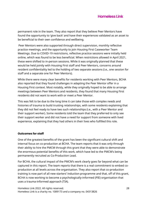permanent role in the team. They also report that they believe Peer Mentors have found the opportunity to 'give back' and have their experiences validated as an asset to be beneficial to their own confidence and wellbeing.

Peer Mentors were also supported through direct supervision, monthly reflective practice meetings, and the opportunity to join Housing First Caseworker Team Meetings. Due to COVID-19 restrictions, reflective practice sessions were initially held online, which was found to be less beneficial. When restrictions allowed in April 2021, these were shifted to in-person sessions. While it was originally planned that these would be held jointly with Housing First staff and Peer Mentors, concerns around resident confidentiality led to the holding of two separate sessions (i.e., one session for staff and a separate one for Peer Mentors).

While there were many clear benefits for residents working with Peer Mentors, BCHA also reported that they found challenges in adapting the Peer Mentor offer in a Housing First context. Most notably, while they originally hoped to be able to arrange meetings between Peer Mentors and residents, they found that many Housing First residents did not want to work with or meet a Peer Mentor.

This was felt to be due to the long time it can take those with complex needs and histories of trauma to build trusting relationships, with some residents explaining that they did not feel ready to have two such relationships (i.e., with a Peer Mentor and their support worker). Some residents told the team that they preferred to only see their support worker and did not have a need for support from someone with lived experience, explaining that they had others in their lives who fulfilled this role.

#### **Outcomes for staff**

One of the greatest benefits of the grant has been the significant cultural shift and internal focus on co-production at BCHA. The team reports that it was only through their ability to hire the PMCM through this grant that they were able to demonstrate the enormous potential benefits of this work, which have led to the PMCM's being permanently recruited as Co-Production Lead.

For BCHA, the cultural impact of the PMCM's work clearly goes far beyond what can be captured in this report. The team reports that there is a real commitment to embed coproduction at all levels across the organisation. They also report that co-production training is now part of all new starters' induction programme and that, off of this grant, BCHA is now working to become a psychologically-informed (PIE) organisation that uses a trauma-informed approach (TIA).

Homeless Link 2022. All rights reserved. 28 Homeless Link is a charity no. 1089173 and a company no. 04313826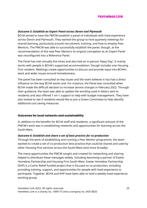#### *Outcome 5: Establish an Expert Panel across Devon and Plymouth*

BCHA aimed to have the PMCM establish a panel of individuals with lived experience across Devon and Plymouth. They wanted the group to host quarterly meetings for shared learning, particularly around recruitment, training, and how to employ Peer Mentors. The PMCM was able to successfully establish the panel, though, at the recommendation of the new Peer Mentors its original conception as an Expert Panel was reconfigured into a Reference Panel.

The Panel has met virtually five times and also had an in-person 'Away Day'. It mainly works with people in BCHA's supported accommodation, though includes one Housing First resident. Meetings create opportunities to discuss and provide input into BCHA's work and wider issues around homelessness.

The panel has been consulted on key issues and the team believes it has had a direct influence on the way BCHA works and. For instance, the Panel was consulted when BCHA made the difficult decision to increase service charges in February 2022. Through their guidance, the team was able to update the wording used in letters sent to residents and also offered 1-on-1 support to help with budget management. They have also looked to see if residents would like to join a Green Committee to help identify additional cost saving measures.

#### **Outcomes for local networks and sustainability**

In addition to the benefits for BCHA staff and residents, a significant amount of the PMCM's work was in establishing networks and opportunities for learning across the South-West.

#### *Outcome 6: Establish and share a set of best practice for co-production*

Through the work of establishing and running a Peer Mentor programme, the team wanted to create a set of co-production best practice that could be shared and used by other Housing First services across the South-West (and more broadly).

The many opportunities the PMCM sought and created for networking and sharing helped to distribute these messages widely, including becoming a partner of Exeter Homeless Partnership and Housing First South-West. Exeter Homeless Partnership (EHP) is a Comic Relief-funded project that is focused on co-production, including providing training, support, and opportunities for people with lived experience to participate. Together, BCHA and EHP have been able to hold a weekly lived experience working group.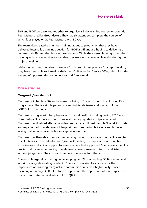

EHP and BCHA also worked together to organise a 5-day training course for potential Peer Mentors led by Groundswell. They had six attendees complete the course, of which four stayed on as Peer Mentors with BCHA.

The team also created a one-hour training about co-production that they have delivered internally as an introduction for BCHA staff and are hoping to deliver as a commercial offer to other housing associations. While they were planning to test the training with residents, they report that they were not able to achieve this during the project timeline.

While the team was not able to create a formal set of best practice for co-production, they have been able to formalise their own Co-Production Service Offer, which includes a menu of opportunities for volunteers and future work.

## **Case studies**

## **Margaret (Peer Mentor)**

Margaret is in her late 30s and is currently living in Exeter through the Housing First programme. She is a single parent to a son in his late teens and is a part of the LGBTQIA+ community.

Margaret struggles with her physical and mental health, including having PTSD and fibromyalgia. She has also been in several damaging relationships as an adult. Margaret was disabled after an accident and, as a result, lost her job. She fell into debt and experienced homelessness. Margaret describes having felt alone and hopeless, saying that 'no one gave me hope or spoke up for me'.

Margaret was then able to move into housing through the local authority. She wanted to volunteer as a Peer Mentor and 'give back', feeling the importance of using her experiences and lack of support to ensure others feel supported. She believes that it is crucial that those experiencing homelessness have someone to talk to and listen without judgement. She also wants to be a role model for others.

Currently, Margaret is working on developing her CV by attending BCHA training and working alongside existing residents. She is also working to advocate for the importance of ensuring marginalised communities receive a high-quality service, including attending BCHA's EDI forum to promote the importance of a safe space for residents and staff who identify as LGBTQIA+.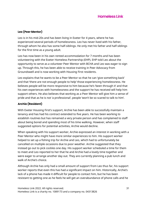## **Leo (Peer Mentor)**

Leo is in his mid-20s and has been living in Exeter for 4 years, where he has experienced several periods of homelessness. Leo has never lived with his father, through whom he also has some half-siblings. He only met his father and half-siblings for the first time as a young adult.

Leo has now been in his own rented accommodation for 7 months and has been volunteering with the Exeter Homeless Partnership (EHP). EHP told Leo about the opportunity to serve as a volunteer Peer Mentor with BCHA and Leo was eager to sign up. Through this, he has been able to receive training in Peer Advocacy from Groundswell and is now working with Housing First residents.

Leo explains that he wants to be a Peer Mentor so that he can 'give something back' and that 'there are not enough people to help' those experiencing homelessness. He believes people will be more responsive to him because he's 'been through it' and that his own experiences with homelessness and the support he has received will help him support others. He also believes that working as a Peer Mentor will give him a sense of pride and that as he is not 'a professional', people 'won't be so scared to talk to him'.

## **Archie (Resident)**

With Exeter Housing First's support, Archie has been able to successfully maintain a tenancy and has had his contract extended to five years. He has been working to establish routines but has remained a very private person and has complained to staff about being bored and spending most of his time walking. However, when staff suggested options for potential activities, Archie would decline.

When speaking with his support worker, Archie expressed an interest in working with a Peer Mentor who might have more similar experiences to him. His support worker helped to set up a fishing trip for Archie and Leo, which had to unfortunately be cancelled on multiple occasions due to poor weather. Archie suggested that they instead go out to pick cockles one day. His support worker scheduled a time for them to meet and Leo reported to her that he and Archie had a lovely time together and were eager to arrange another day out. They are currently planning a pub lunch and walk of Archie's choice.

Although Archie has only had a small amount of support from Leo thus far, his support worker reports that even this has had a significant impact on him. Historically, Archie's lack of a phone has made it difficult for people to contact him, but he has been resistant to getting one as he feels he will get an overabundance of phone calls and he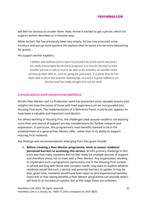will feel too anxious to answer them. Now, Archie is excited to get a phone, which his support worker describes as 'a massive step'.

While Archie's flat has previously been very empty, he has now procured some furniture and put up some posters. He explains that he wants it to be more welcoming for guests.

His support worker explains:

*I believe that without [Leo's] input he wouldn't be at this point now and I am really encouraged by [Archie's] progress. It is nice for [Archie] to have another person to talk to and to be able to do activities he wouldn't have previously been able to, such as going for pub lunch. It is great that he has been able to form this positive relationship, as [Leo] is a great influence on [Archie] and has really bought him out his shell.*

# **Conclusions and recommendations**

BCHA's Peer Mentor and Co-Production work has presented some valuable lessons and insights into how the voices of those with lived experience can be incorporated into Housing First work. The implementation of a Reference Panel, in particular, appears to have been a valuable and important contribution.

For others working in Housing First, the challenges cited around residents not wanting more than one source of support are key considerations for further research and exploration. In particular, this programme's main benefits seemed to lie in the establishment of a general Peer Mentor offer, rather than in its ability to support Housing First residents.

Key findings and recommendations emerging from this grant include:

**1. Before creating a Peer Mentor programme, work to assess residents' perceived barriers to accessing this service.** BCHA's primary challenge in this work was that many residents did not feel ready for multiple sources of support and therefore chose not to meet with a Peer Mentor. Any organisation working to implement such a programme, particularly one in the Housing First context or where working with those with complex needs, may want to explore whether residents would like such a service and potential barriers to uptake. It may be that, given time, residents would have been open to (and experienced benefits from) this or that seeing benefits a Peer Mentor programme can provide others will lead to an increase an uptake, but at this stage these are unknown.

Homeless Link 2022. All rights reserved. 32 Homeless Link is a charity no. 1089173 and a company no. 04313826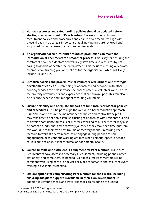- **2. Human resources and safeguarding policies should be updated before starting the recruitment of Peer Mentors**. Review existing volunteer recruitment policies and procedures and ensure new procedures align with those already in place. It is important that all new policies are reviewed and supported by human resources and senior leadership.
- **3. An organisational cultural shift around co-production can make the introduction of Peer Mentors a smoother process**. This is key for ensuring the comfort of new Peer Mentors and will likely save time and resources by not having to do this work after their recruitment. This includes creating a dedicated co-production training plan and policies for the organisation, which will likely include PIE and TIA.
- **4. Establish policies and procedures for volunteer recruitment and strategic development early on**. Establishing relationships and networks with other housing services can help increase the pool of potential volunteers and, in turn, the diversity of volunteers and experience that are drawn upon. This can also help reduce expense and time spent recruiting volunteers.
- **5. Ensure flexibility and adequate support are built into Peer Mentor policies and procedures.** This helps to align the role with a harm reduction approach (Principle 7) and ensure the maintenance of choice and control (Principle 4). It may take time to not only establish trusting relationships with residents but also to develop confidence across Peer Mentors. Working as a Peer Mentor may also be part of an individual's own recovery journey or they may need time out from this work due to their own past trauma or recovery needs. Pressuring Peer Mentors to work at a certain pace, to re-engage during periods of nonengagement, or to continue working at times when personal space is needed could lead to relapse, further trauma, or poor mental health.
- **6. Source suitable and sufficient IT equipment for Peer Mentors.** Make sure Peer Mentors have access to necessary IT equipment, including phones, office stationery, and computers, as needed. Do not assume Peer Mentors will be confident with using particular devices or types of software and ensure relevant training is available, as needed.
- **7. Explore options for compensating Peer Mentors for their work, including ensuring adequate support is available in their own development**. In addition to covering meals and travel expenses, to recognise the unique

Homeless Link 2022. All rights reserved. 33 Homeless Link is a charity no. 1089173 and a company no. 04313826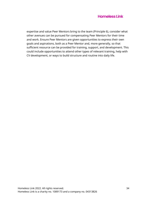expertise and value Peer Mentors bring to the team (Principle 6), consider what other avenues can be pursued for compensating Peer Mentors for their time and work. Ensure Peer Mentors are given opportunities to express their own goals and aspirations, both as a Peer Mentor and, more generally, so that sufficient resource can be provided for training, support, and development. This could include opportunities to attend other types of relevant training, help with CV development, or ways to build structure and routine into daily life.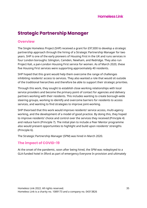# **Strategic Partnership Manager**

# **Overview**

The Single Homeless Project (SHP) received a grant for £97,830 to develop a strategic partnership approach through the hiring of a Strategic Partnership Manager for two years. SHP is one of the early pioneers of Housing First in the UK and runs services in four London boroughs: Islington, Camden, Newham, and Redridge. They also run Project Kali, a pan-London Housing First service for women. As of March 2020, these five Housing First services were supporting approximately 40 residents.

SHP hoped that this grant would help them overcome the range of challenges inhibiting residents' access to services. They also wanted a role that would sit outside of the traditional hierarchies and therefore be able to support their strategic priorities.

Through this work, they sought to establish close working relationships with local service providers and become the primary point of contact for agencies and delivery partners working with their residents. This includes wanting to create borough-wide steering groups, working to identify and overcome barriers for residents to access services, and wanting to find strategies to improve joint-working.

SHP theorised that this work would improve residents' service access, multi-agency working, and the development of a model of good practice. By doing this, they hoped to improve residents' choice and control over the services they received (Principle 4) and reduce harm (Principle 7). The initial plan to include a Peer Mentor programme also would present opportunities to highlight and build upon residents' strengths (Principle 6).

The Strategic Partnership Manager (SPM) was hired in March 2020.

# **The impact of COVID-19**

At the onset of the pandemic, soon after being hired, the SPM was redeployed to a GLA-funded hotel in Ilford as part of emergency Everyone In provision and ultimately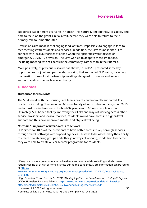supported two different Everyone In hotels.<sup>4</sup> This naturally limited the SPM's ability and time to focus on the grant's initial remit, before they were able to return to their primary role four months later.

Restrictions also made it challenging (and, at times, impossible) to engage in face-toface meetings with residents and services. In addition, the SPM found it difficult to connect with local authorities at a time when their priorities were focused on emergency COVID-19 provision. The SPM worked to adapt to these limitations, including meeting with residents in the community, rather than in their homes.

More positively, as previous research has shown,<sup>5</sup> COVID-19 presented some key opportunities for joint and partnership working that supported SHP's aims, including the creation of new local partnership meetings designed to monitor and assess support needs across each local authority.

## **Outcomes**

### **Outcomes for residents**

The SPM's work with the Housing First teams directly and indirectly supported 112 residents, including 52 women and 60 men. Nearly all were between the ages of 26-55 and almost one in three were disabled (32 people) and 16 were people of colour. Ultimately, SHP hoped that by improving their links and ways of working across other service providers and local authorities, residents would have access to higher-level support and thus have improved mental and physical wellbeing.

### *Outcome 1: Improved resident access to services*

SHP aimed for 100% of their residents to have better access to key borough services through direct pathways with support agencies. This was to be assessed by their ability to create new steering groups and other joint ways of working, in addition to whether they were able to create a Peer Mentor programme for residents.

Homeless Link 2022. All rights reserved. 36

Homeless Link is a charity no. 1089173 and a company no. 04313826

<sup>4</sup> Everyone In was a government initiative that accommodated those in England who were rough sleeping or at risk of homelessness during the pandemic. More information can be found at [https://](https://www.commissiononroughsleeping.org/wp-content/uploads/2021/07/KRSC_Interim_Report_0721.pdf)

[www.commissiononroughsleeping.org/wp-content/uploads/2021/07/KRSC\\_Interim\\_Report\\_](https://www.commissiononroughsleeping.org/wp-content/uploads/2021/07/KRSC_Interim_Report_0721.pdf) [0721.pdf.](https://www.commissiononroughsleeping.org/wp-content/uploads/2021/07/KRSC_Interim_Report_0721.pdf)

<sup>5</sup> E.g., Grassian, T. and Boobis, S. (2021). *Working together: the homelessness sector's path beyond COVID*. Homeless Link. Available at: [https://www.homeless.org.uk/sites/default/files/site](https://www.homeless.org.uk/sites/default/files/site-attachments/Homeless%20Link%20-%20Working%20together%20v5.pdf)[attachments/Homeless%20Link%20-%20Working%20together%20v5.pdf.](https://www.homeless.org.uk/sites/default/files/site-attachments/Homeless%20Link%20-%20Working%20together%20v5.pdf)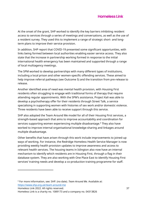At the onset of the grant, SHP worked to identify the key barriers inhibiting resident access to services through a series of meetings and conversations, as well as the use of a resident survey. They used this to implement a range of strategic short- and longterm plans to improve their service provision.

In addition, SHP report that COVID-19 presented some significant opportunities, with links being formed between local authorities enabling easier service access. They also state that the increase in partnership working formed in response to the initial international health emergency has been maintained and supported through a range of local multiagency meetings.

The SPM worked to develop partnerships with many different types of institutions, including a local prison and other women-specific offending services. These aimed to help improve referral pathways (see Outcome 5) and the transition from pre-release to release.

Another identified area of need was mental health provision, with Housing First residents often struggling to engage with traditional forms of therapy that require attending regular appointments. With the SPM's assistance, Project Kali was able to develop a psychotherapy offer for their residents through Street Talk, a service specialising in supporting women with histories of sex work and/or domestic violence. Three residents have been able to receive support through this service.

SHP also adopted the Team Around Me model for all of their Housing First services, a strength-based approach that aims to improve accountability and coordination for services supporting women experiencing multiple disadvantage.<sup>6</sup> They also have worked to improve internal organisational knowledge-sharing and linkages around multiple disadvantage.

Other benefits that have arisen through this work include improvements to joined-up ways of working. For instance, the Redridge Homeless Health Service Manager is now providing weekly health provision updates to improve awareness and access to relevant health services. The housing teams in Islington also now have an internal mechanism to identify which residents are in Housing First, through a flag in their database system. They are also working with One Place East to identify Housing First services' training needs and develop a co-production training programme for staff.

Homeless Link 2022. All rights reserved. 37

<sup>6</sup> For more information, see: SHP. (no date). *Team Around Me.* Available at: <https://www.shp.org.uk/team-around-me>

Homeless Link is a charity no. 1089173 and a company no. 04313826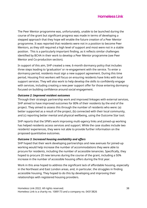The Peer Mentor programme was, unfortunately, unable to be launched during the course of the grant but significant progress was made in terms of developing a stepped approach that they hope will enable the future creation of a Peer Mentor programme. It was reported that residents were not in a position to become Peer Mentors, as they still required a high level of support and most were not in a stable position. This is a particularly important finding, as it reflects similar challenges identified by BCHA in their work to develop a Peer Mentor programme (see Peer Mentor and Co-production section).

In support of this aim, SHP created a new, 6-month dormancy policy that includes three steps leading to 'graduation' or re-engagement with the service. To enter a dormancy period, residents must sign a new support agreement. During this time period, Housing First workers will focus on ensuring residents have links with local support services. They will also work to help develop the skills to confidently engage with services, including creating a new peer support offer for those entering dormancy focused on building confidence around social engagement.

### *Outcome 2: Improved resident outcomes*

Through their strategic partnership work and improved linkages with external services, SHP aimed to have improved outcomes for 80% of their residents by the end of the project. They aimed to assess this through the number of residents who were: (a) better supported as a result of the project, (b) connected with their local community, and (c) reporting better mental and physical wellbeing, using the Outcome Star tool.

SHP reports that the SPM's work improving multi-agency links and joined-up working has helped residents access services and support. While the case studies include two residents' experiences, they were not able to provide further information on the proposed quantitative outcomes.

### *Outcome 3: Increased housing availability and offers*

SHP hoped that their work developing partnerships and new avenues for joined-up working would help increase the number of accommodations they were able to procure for residents, including the number of accessible tenancies. Specifically, they hoped to procure 20 new tenures during the course of the grant, including a 50% increase in the number of accessible housing offers during the first year.

Work in this area hoped to address the significant lack of affordable housing, especially in the Northeast and East London areas, and, in particular, the struggles in finding accessible housing. They hoped to do this by developing and improving their relationships with registered housing providers.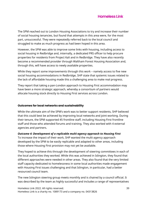The SPM reached out to London Housing Associations to try and increase their number of social housing tenancies, but found that attempts in this area were, for the most part, unsuccessful. They were repeatedly referred back to the local council and struggled to make as much progress as had been hoped in this area.

However, the SPM was able to improve some links with housing, including access to social housing in Redbridge and, internally, a dedicated PRS officer to help procure properties for residents from Project Kali and in Redbridge. They have also recently become a recommended provider through Waltham Forest Housing Association and, through this, will have access to newly available properties.

While they report some improvements through this work – namely access to five new social housing accommodations in Redbridge, SHP state that systemic issues related to the lack of affordable housing made this a challenging area to make real progress.

They report that taking a pan-London approach to Housing First accommodation may have been a more strategic approach, whereby a consortium of partners would allocate housing stock directly to Housing First services across London.

#### **Outcomes for local networks and sustainability**

While the ultimate aim of the SPM's work was to better support residents, SHP believed that this could best be achieved by improving local networks and joint working. During their tenure, the SPM supported 45 frontline staff, including Housing First frontline staff and those who attended forums and training. They also worked with 4 external agencies and partners.

*Outcome 4: Development of a replicable multi-agency approach to Housing First* To increase the impact of their work, SHP wanted the multi-agency approach developed by the SPM to be easily replicable and adapted to other areas, including those where Housing First provision may not yet be available.

They hoped to achieve this through the development of steering committees in each of the local authorities they worked. While this was achieved in Islington, they found that different approaches were needed in other areas. They also found that the very limited staff capacity dedicated to homelessness in some local authorities made engagement with Housing First issues challenging and that Islington, in particular, had a better resourced council team.

The new Islington steering group meets monthly and is chaired by a council official. It was described by the team as highly successful and includes a range of representatives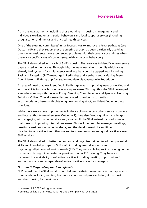from the local authority (including those working in housing management and individuals working on anti-social behaviour) and local support services (including drug, alcohol, and mental and physical health services).

One of the steering committees' initial focuses was to improve referral pathways (see Outcome 5) and they report that the steering group has been particularly useful at times when residents have experienced problems with their tenancy or at times when there are specific areas of concern (e.g., with anti-social behaviour).

The SPM also worked with each of SHP's Housing First services to identify where service gaps existed in their areas. Through this, the team was able to identify which areas already had systems for multi-agency working that could be tapped into, including Task and Targeting (T&T) meetings in Redbridge and Newham and a Making Every Adult Matter (MEAM) group focused on multiple disadvantage in Redbridge.

An area of need that was identified in Redbridge was in improving ways of working and accountability in social housing allocation processes. Through this, the SPM developed a regular meeting with the local Rough Sleeping Commissioner and Specialist Housing Solutions Officer. They discussed issues related to residents currently in accommodation, issues with obtaining new housing stock, and identified emerging priorities.

While there were some improvements in their ability to access other service providers and local authority members (see Outcome 1), they also faced significant challenges with engaging with other services and, as a result, the SPM instead focused some of their time on improving internal processes. This included regular manager meetings, creating a resident outcome database, and the development of a multiple disadvantage practice forum that worked to share resources and good practice across SHP services.

The SPM also worked to better understand and organise training to address potential skills and knowledge gaps for SHP staff, including around sex work and psychologically-informed environments (PIE). They were able to provide training on the former and brought in an external provider to offer PIE training. They have also increased the availability of reflective practice, including creating opportunities for support workers and a separate reflective practice space for managers.

### *Outcome 5: Targeted approach to referrals*

SHP hoped that the SPM's work would help to create improvements in their approach to referrals, including wanting to create a coordinated process to target the most suitable Housing First residents.

Homeless Link 2022. All rights reserved. 40 Homeless Link is a charity no. 1089173 and a company no. 04313826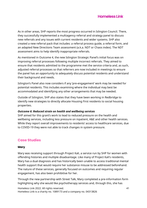

As in other areas, SHP reports the most progress occurred in Islington Council. There, they successfully implemented a multiagency referral and strategy panel to discuss new referrals and any issues with current residents and wider systems. SHP also created a new referral pack that includes: a referral process guide, a referral form, and an adapted New Directions Team assessment (a.k.a. NDT or Chaos index). The NDT assessment aims to help identify inappropriate referrals.

As mentioned in Outcome 4, the new Islington Strategic Panel's initial focus was on improving referral processes following multiple incorrect referrals. They aimed to ensure that residents admitted to the programme met the service criteria and, as such, adjusted referral processes so that referrers are now included in meetings to ensure the panel has an opportunity to adequately discuss potential residents and understand their background and needs.

Islington's Panel also now considers if any 'pre-engagement' work may be needed for potential residents. This includes examining where the individual may best be accommodated and identifying any other arrangements that may be needed.

Outside of Islington, SHP also states that they have been working in Redbridge to identify new strategies to directly allocate Housing First residents to social housing properties.

#### *Outcome 6: Reduced strain on health and wellbeing services*

SHP aimed for this grant's work to lead to reduced pressure on the health and wellbeing services, including less pressure on inpatient, A&E and other health services. While they report overall improvements to residents' access to healthcare services, due to COVID-19 they were not able to track changes in system pressure.

## **Case Studies**

#### **Mary**

Mary was receiving support through Project Kali, a service run by SHP for women with offending histories and multiple disadvantage. Like many of Project Kali's residents, Mary has a dual diagnosis and has historically been unable to access traditional mental health support that would require her substance misuse to be addressed beforehand. The nature of these services, generally focused on outcomes and requiring regular engagement, has also been prohibitive for her.

Through the new partnership with Street Talk, Mary completed a pre-information form highlighting why she would like psychotherapy services and, through this, she has

Homeless Link 2022. All rights reserved. 41 Homeless Link is a charity no. 1089173 and a company no. 04313826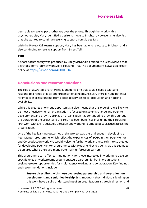

been able to receive psychotherapy over the phone. Through her work with a psychotherapist, Mary identified a desire to move to Brighton. However, she also felt that she wanted to continue receiving support from Street Talk.

With the Project Kali team's support, Mary has been able to relocate to Brighton and is also continuing to receive support from Street Talk.

#### **Tom**

A short documentary was produced by Emily McDonald entitled *The Best Situation* that describes Tom's journey with SHP's Housing First. The documentary is available freely online at <https://vimeo.com/494090567>.

## **Conclusions and recommendations**

The role of a Strategic Partnership Manager is one that could clearly adapt and respond to a range of local and organisational needs. As such, there is huge potential for impact in areas ranging from access to services to co-production and housing availability.

While this creates enormous opportunity, it also means that this type of role is likely to be most effective when an organisation is focused on systems change and open to development and growth. SHP as an organisation has continued to grow throughout the duration of the project and this role has been beneficial in aligning their Housing First work with SHP's strategic direction and working to embed best practice across the organisation.

One of the key learning outcomes of this project was the challenges in developing a Peer Mentor programme, which reflect the experiences of BCHA in their Peer Mentor and Co-production work. We would welcome further work and research into strategies for developing Peer Mentor programmes with Housing First residents, as this seems to be an area where there are many potentially unforeseen barriers.

This programme can offer learning not only for those interested in working to develop specific roles or workstreams around strategic partnership, but in organisations seeking greater opportunities for multi-agency working and collaboration. Key findings and recommendations include:

**1. Ensure direct links with those overseeing partnership and co-production development and senior leadership.** It is important that individuals leading on this work have a solid understanding of an organisation's strategic direction and

Homeless Link 2022. All rights reserved. 42 Homeless Link is a charity no. 1089173 and a company no. 04313826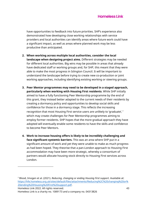have opportunities to feedback into future priorities. SHP's experience also demonstrated how developing close working relationships with service providers and local authorities can identify areas where future work could have a significant impact, as well as areas where planned work may be less productive than anticipated.

- **2. When working across multiple local authorities, consider the local landscape when designing project aims.** Different strategies may be needed for different local authorities. Big wins may be possible in areas that already have dedicated staff or working groups and, for SHP, this meant that they were able to make the most progress in Islington Council. It will be important to understand the landscape before trying to create new co-production or joint working approaches, including identifying existing working or steering groups.
- **3. Peer Mentor programmes may need to be developed in a staged approach, particularly when working with Housing First residents**. While SHP initially aimed to have a fully functioning Peer Mentorship programme by the end of this grant, they instead better adapted to the current needs of their residents by creating a dormancy policy and opportunities to develop social skills and confidence for those in a dormancy stage. This reflects the increasing recognition that most Housing First service users are unlikely to 'graduate', <sup>7</sup> which may create challenges for Peer Mentorship programmes aiming to employ former residents. SHP hopes that the more gradual approach they have adopted will eventually enable some residents to have the skills and confidence to become Peer Mentors.
- **4. Work to increase housing offers is likely to be incredibly challenging and face significant systemic barriers.** This was an area where SHP put in a significant amount of work and yet they were unable to make as much progress as had been hoped. They theorise that a pan-London approach to Housing First accommodation may have been more strategic, whereby a consortium of partners would allocate housing stock directly to Housing First services across London.

Homeless Link 2022. All rights reserved. 43

<sup>7</sup> Blood, Imogen et al. (2021). *Reducing, changing or ending Housing First support*. Available at: [https://hfe.homeless.org.uk/sites/default/files/attachments/Reducing%2C%20changing%20or%](https://hfe.homeless.org.uk/sites/default/files/attachments/Reducing%2C%20changing%20or%20ending%20Housing%20First%20support.pdf) [20ending%20Housing%20First%20support.pdf.](https://hfe.homeless.org.uk/sites/default/files/attachments/Reducing%2C%20changing%20or%20ending%20Housing%20First%20support.pdf)

Homeless Link is a charity no. 1089173 and a company no. 04313826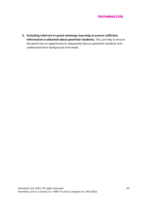**5. Including referrers in panel meetings may help to ensure sufficient information is obtained about potential residents.** This can help to ensure the panel has an opportunity to adequately discuss potential residents and understand their background and needs.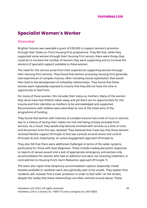# **Specialist Women's Worker**

# **Overview**

Brighter Futures was awarded a grant of £90,000 to support women's provision through their Stoke-on-Trent Housing First programme. They felt that, while they supported some women through their Housing First service, there were things they could do to increase the number of women they were supporting and to increase the amount of specialist support available to these women.

The need for this service arose from their experiences supporting women through their Housing First services. They found that women accessing Housing First generally had experiences of complex trauma, often including sexual exploitation that would then lead to the development of unhealthy relationships. They found that these women were repeatedly exposed to trauma that they did not have the time or opportunity to heal from.

For many of these women, this includes their status as mothers. Many of the women they serve have had children taken away and yet there are no opportunities for this trauma and their identities as mothers to be acknowledged and supported. Reconnections with children were described as one of the initial aims of the programme of funding.

They found that women with histories of complex trauma had a lack of trust in services due to a history of having their meets not met and being actively excluded from services. As a result, they would only become involved with services at a time of crisis and disconnect once this was resolved. They believed that it was key that these women received flexible support (Principle 2) that was centred around choice and control (Principle 4) and, importantly, an active engagement approach (Principle 6).

They also felt that there were additional challenges in terms of the wider systems, particularly for those with dual diagnoses. These include inadequate police responses to reports of sexual assault and a lack of appropriate emergency and women-only accommodation for women who had an addiction but were not receiving treatment, in contradiction to Housing First's Harm Reduction approach (Principle 7).

The team also report that temporary accommodation options (especially mixed hostels) available to residents were also generally seen to be unsafe. They explain that residents will, instead, find a male 'protector' in order to feel 'safer' on the streets, despite the reality that these relationships are often centred around abuse. These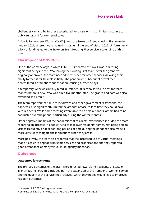challenges can also be further exacerbated for those with no or limited recourse to public funds and for women of colour.

A Specialist Women's Worker (SWW) joined the Stoke-on-Trent Housing First team in January 2021, where they remained in post until the end of March 2022. Unfortunately, a lack of funding led to the Stoke-on-Trent Housing First service also ending at this time.

# **The impact of COVID-19**

One of the primary ways in which COVID-19 impacted this work was in creating significant delays to the SWW joining the Housing First team. After the grant was originally approved, the team needed to retender for other services, delaying their ability to recruit for this role initially. The pandemic's subsequent arrival then necessitated a dramatic reprioritisation, causing further delays.

A temporary SWW was initially hired in October 2020, who served in post for three months before a new SWW was hired five months later. The grant's end date was also extended as a result.

The team reported that, due to lockdowns and other government restrictions, the pandemic also significantly limited the amount of face-to-face time they could have with residents. While some meetings were able to be held outdoors, others had to be conducted over the phone, particularly during the winter months.

Other negative impacts of the pandemic that residents' experienced included the team reporting an increase in people trying to take over residents' homes. Not being able to visit as frequently or at all for long periods of time during the pandemic also made it more difficult to mitigate these situations when they arose.

More positively, the team also reported that the increased use of virtual meetings made it easier to engage with some services and organisations and they reported good attendance at many virtual multi-agency meetings.

## **Outcomes**

#### **Outcomes for residents**

The primary outcomes of the grant were directed towards the residents of Stoke-on-Trent Housing First. This included both the expansion of the number of women served and the quality of the service they received, which they hoped would lead to improved resident outcomes.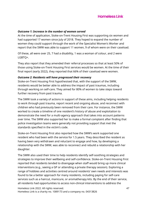

#### *Outcome 1: Increase in the number of women served*

At the time of application, Stoke-on-Trent Housing First was supporting six women and had supported 17 women since July of 2018. They hoped to expand the number of women they could support through the work of the Specialist Women's Worker and report that the SWW was able to support 11 women, 9 of whom were on their caseload.

Of these, all were over 25, 7 had a disability, 1 was a woman of colour, and 2 were LGBTQ+.

They also report that they amended their referral processes so that at least 50% of those using Stoke-on-Trent Housing First services would be women. At the time of their final report (early 2022), they reported that 66% of their caseload were women.

#### *Outcome 2: Residents will have progressed their recovery*

Stoke-on-Trent Housing First hypothesised that, with the support of the SWW, residents would be better able to address the impact of past traumas, including through working on self-care. They aimed for 80% of women to take steps toward further recovery from past trauma.

The SWW took a variety of actions in support of these aims, including helping residents to work through past trauma, report recent and ongoing abuse, and reconnect with children who had previously been removed from their care. For instance, the SWW worked to create a timeline of one resident's history of abuse and exploitation to demonstrate the need for a multi-agency approach that takes into account patterns over time. The SWW also supported her to make a formal complaint after finding that police investigation teams were generally not providing support that met the standards specified in the victim's code.

Stoke-on-Trent Housing First also reported how the SWW's work supported one resident who had been with the service for 1.5 years. They described the resident as having been very withdrawn and reluctant to engage and how, by developing a relationship with the SWW, was able to reconnect and rebuild a relationship with her daughter.

The SWW also used their time to help residents identify self-soothing strategies and strategies to improve their wellbeing and self-confidence. Stoke-on-Trent Housing First reported that residents tended to disengage when staff would bring up more clinical interventions (e.g., seeing a GP or attending a private therapy session). Exploring a range of hobbies and activities centred around residents' own needs and interests was found to be a better approach for many residents, including paying for self-care services such as a haircut, manicure, or aromatherapy kits. By the end of their service, all residents had opportunities to access non-clinical interventions to address the

Homeless Link 2022. All rights reserved. 47 Homeless Link is a charity no. 1089173 and a company no. 04313826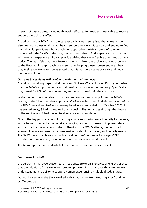impacts of past trauma, including through self-care. Ten residents were able to receive support through this offer.

In addition to the SWW's non-clinical approach, it was recognised that some residents also needed professional mental health support. However, it can be challenging to find mental health providers who are able to support those with a history of complex trauma. With the SWW's assistance, the team was able to find a specialist practitioner with relevant experience who can provide talking therapy at flexible times and at short notice. The team felt that these features – which mirror the choice and control central to the Housing First approach, are essential to helping these women engage when they feel ready. However, it was stated that this was only a temporary fix and not a long-term solution.

#### *Outcome 3: Residents will be able to maintain their tenancies*

In addition to taking steps in their recovery, Stoke-on-Trent Housing First hypothesised that the SWW's support would also help residents maintain their tenancy. Specifically, they aimed for 80% of the women they supported to maintain their tenancy.

While the team was not able to provide comparative data from prior to the SWW's tenure, of the 11 women they supported (2 of whom had been in their tenancies before the SWW's arrival and 9 of whom were placed in accommodation in October 2020): 1 has passed away, 8 had maintained their Housing First tenancies through the closure of the service, and 2 had moved to alternative accommodation.

One of the biggest successes of the programme was the increased security for tenants, with a focus on target hardening (i.e., changing residents' houses to improve safety and reduce the risk of attack or theft). Thanks to the SWW's efforts, the team had ensured they were consulting all new residents about their safety and security needs. The SWW was also able to work with a local non-profit organisation to get CCTV installed for four women, including one who received a video doorbell.

The team reports that residents felt much safer in their homes as a result.

#### **Outcomes for staff**

In addition to improved outcomes for residents, Stoke-on-Trent Housing First believed that the addition of an SWW would create opportunities to increase their own team's understanding and ability to support women experiencing multiple disadvantage.

During their tenure, the SWW worked with 12 Stoke-on-Trent Housing First frontline staff members.

Homeless Link 2022. All rights reserved. 48 Homeless Link is a charity no. 1089173 and a company no. 04313826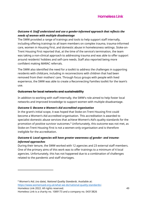## *Outcome 4: Staff understand and use a gender-informed approach that reflects the needs of women with multiple disadvantage*

The SWW provided a range of trainings and tools to help support staff internally, including offering trainings to all team members on complex trauma, trauma-informed care, women in Housing First, and domestic abuse in homelessness settings. Stoke-on-Trent Housing First reported that, at the time of the service's termination, the team was taking a non-clinical approach to addressing trauma and was able to offer support around residents' hobbies and self-care needs. Staff also reported being more confident making MARAC referrals.

The SWW also identified the need for a toolkit to address the challenges in supporting residents with childcare, including in reconnections with children that had been removed from their mothers' care. Through focus groups with people with lived experience, the SWW was able to create a Reconnecting Families toolkit for the team's use.

### **Outcomes for local networks and sustainability**

In addition to working with staff internally, the SWW's role aimed to help foster local networks and improved knowledge to support women with multiple disadvantage.

## *Outcome 5: Become a Women's Aid accredited organisation*

In the grant's initial scope, it was hoped that Stoke-on-Trent Housing First could become a Women's Aid accredited organisation. This accreditation is awarded to specialist domestic abuse services that achieve Women's Aid's quality standards for the promotion of positive survivor outcomes.<sup>8</sup> Unfortunately, this outcome was not met, as Stoke-on-Trent Housing First is not a women-only organisation and is therefore ineligible for the accreditation.

## *Outcome 6: Local agencies will have greater awareness of gender- and traumainformed approaches*

During their tenure, the SWW worked with 12 agencies and 23 external staff members. One of the primary aims of this work was to offer trainings to a minimum of 4 local agencies. Unfortunately, this has not happened due to a combination of challenges related to the pandemic and staff shortages.

Homeless Link 2022. All rights reserved. 49 Homeless Link is a charity no. 1089173 and a company no. 04313826 <sup>8</sup> Women's Aid. (no date). *National Quality Standards*. Available at: [https://www.womensaid.org.uk/what-we-do/national-quality-standards/.](https://www.womensaid.org.uk/what-we-do/national-quality-standards/)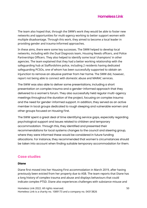The team also hoped that, through the SWW's work they would be able to foster new networks and opportunities for multi-agency working to better support women with multiple disadvantage. Through this work, they aimed to become a local leader in providing gender and trauma-informed approaches.

In these aims, there were some key successes. The SWW helped to develop local networks, including with the Dual Diagnosis team, Housing Needs officers, and Police Partnerships Officers. They also helped to identify some local 'champions' in other agencies. The team explained that they had a better working relationship with the safeguarding hub at Staffordshire police, including 2 residents having dedicated safeguarding PCSOs, one of whom has been successfully supported to obtain an injunction to remove an abusive partner from her home. The SWW did, however, report not being able to connect with domestic abuse and MARAC services.

The SWW was also able to deliver some presentations, including a short presentation on complex trauma and a gender-informed approach that they delivered to a women's forum. They also successfully held regular multi-agency meetings throughout the duration of the project, focusing on complex trauma and the need for gender-informed support. In addition, they served as an active member in local groups dedicated to rough sleeping and vulnerable women and other groups focused on Housing First.

The SWW spent a great deal of time identifying service gaps, especially regarding psychological support and issues related to children and temporary accommodation. Through this, they identified and presented their recommendations for local systems changes to the council and steering group, where they were informed these would be considered in future funding allocations. For instance, they recommended that women's circumstances should be taken into account when finding suitable temporary accommodation for them.

## **Case studies**

#### **Diane**

Diane first moved into her Housing First accommodation in March 2019, after having previously been evicted from her property due to ASB. The team reports that Diane has a long history of complex trauma and abuse and displays behaviours that could indicate complex PTSD. Diane also experiences challenges with substance misuse and

Homeless Link 2022. All rights reserved. 50 Homeless Link is a charity no. 1089173 and a company no. 04313826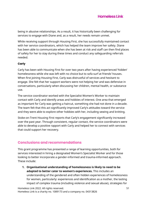being in abusive relationships. As a result, it has historically been challenging for services to engage with Diane and, as a result, her needs remain unmet.

While receiving support through Housing First, she has successfully maintained contact with her service coordinators, which has helped the team improve her safety. Diane has been able to communicate when she has been at risk and staff can then find places of safety for her to stay during these times and conduct any safeguarding referrals needed.

## **Carly**

Carly has been with Housing First for over two years after having experienced 'hidden' homelessness while she was left with no choice but to sofa surf at friends' houses. When first joining Housing First, Carly was distrustful of services and hesitant to engage. She felt that her support workers were not helping her and was defensive in conversations, particularly when discussing her children, mental health, or substance use.

The service coordinator worked with the Specialist Women's Worker to maintain contact with Carly and identify areas and hobbies of interest. One area that emerged as important for Carly was getting a haircut, something she had not done in a decade. The team felt that this act significantly improved Carly's attitudes toward the service and they were able to explore other hobbies with her, including sewing and knitting.

Stoke-on-Trent Housing First reports that Carly's engagement significantly increased over the past year. Through consistent, regular contact, the service coordinators were able to develop a positive rapport with Carly and helped her to connect with services that could support her recovery.

# **Conclusions and recommendations**

This grant programme has presented a range of learning opportunities, both for services interested in hiring a designated Women's Specialist Worker and for those looking to better incorporate a gender-informed and trauma-informed approach. These include:

**1. Organisational understanding of homelessness is likely to need to be adapted to better cater to women's experiences.** This includes an understanding of the gendered and often hidden experiences of homelessness for women, particularly: experiences and identification as a mother, the lasting impact of complex trauma (including violence and sexual abuse), strategies for

Homeless Link 2022. All rights reserved. The set of the set of the set of the set of the set of the set of the set of the set of the set of the set of the set of the set of the set of the set of the set of the set of the s Homeless Link is a charity no. 1089173 and a company no. 04313826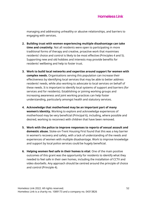managing and addressing unhealthy or abusive relationships, and barriers to engaging with services.

- **2. Building trust with women experiencing multiple disadvantage can take time and creativity**. Not all residents were open to participating in more traditional forms of therapy and creative, proactive work that maximises residents' choice and control is likely to be most effective (Principles 4 and 5). Supporting new and old hobbies and interests may provide benefits for residents' wellbeing and help to foster trust.
- **3. Work to build local networks and expertise around support for women with complex needs.** Organisations serving this population can increase their effectiveness by identifying local services that may be able to better address residents' needs, while also working to advocate to local services on behalf of these needs. It is important to identify local systems of support and barriers (for services and for residents). Establishing or joining working groups and increasing awareness and joint working practices can help foster understanding, particularly amongst health and statutory services.
- **4. Acknowledge that motherhood may be an important part of many women's identity.** Working to explore and acknowledge experiences of motherhood may be very beneficial (Principal 6), including, where possible and desired, working to reconnect with children that have been removed.
- **5. Work with the police to improve responses to reports of sexual assault and domestic abuse.** Stoke-on-Trent Housing First found that this was a key barrier in women's recovery and safety, with a lack of understanding of the needs and experiences of women with multiple disadvantage. Work to improve knowledge and support by local police services could be hugely beneficial.
- **6. Helping women feel safe in their homes is vital**. One of the main positive outcomes of this grant was the opportunity for residents to identify what they needed to feel safe in their own homes, including the installation of CCTV and video doorbells. Any approach should be centred around the principle of choice and control (Principle 4).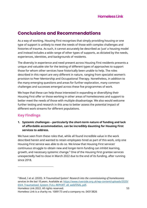# **Conclusions and Recommendations**

As a way of working, Housing First recognises that simply providing housing or one type of support is unlikely to meet the needs of those with complex challenges and histories of trauma. As such, it cannot accurately be described as 'just' a housing model and instead includes a wide range of other types of supports, as dictated by the needs, experiences, identities, and backgrounds of residents.

The diversity in experience and need present across Housing First residents presents a unique and valuable site for the testing of different types of approaches to support those for whom other services have historically been unable to help. The roles described in this report are very different in nature, ranging from specialist women's provision to Peer Mentorship and Occupational Therapy. Nonetheless, in addition to the many emerging questions and areas for further exploration, many common challenges and successes emerged across these five programmes of work.

We hope that these can help those interested in expanding or diversifying their Housing First offer or those working in other areas of homelessness and support to better meet the needs of those with multiple disadvantage. We also would welcome further testing and research in this area to better assess the potential impact of different work streams for different populations.

# **Key Findings**

**1. Systemic challenges – particularly the short-term nature of funding and lack of affordable accommodation, can be incredibly daunting for Housing First services to address.**

We have seen from these roles that, while all found incredible value in the work described herein and wanted to retain employees hired as part of this work, only one Housing First service was able to do so. We know that Housing First services' continuous struggle to obtain new and longer-term funding can inhibit learning, growth, and necessary systemic change.<sup>9</sup> One of the Housing First grantee services unexpectedly had to close in March 2022 due to the end of its funding, after running since 2018.

Homeless Link 2022. All rights reserved. 53

<sup>9</sup> Blood, I et al. (2020). *'A Traumatised System': Research into the commissioning of homelessness services in the last 10 years.* Available at: [https://www.riverside.org.uk/wp-content/uploads/2020/](https://www.riverside.org.uk/wp-content/uploads/2020/03/A_Traumatised_System_FULL-REPORT_v8_webFINAL.pdf) 03/A Traumatised System FULL-REPORT v8 webFINAL.pdf.

Homeless Link is a charity no. 1089173 and a company no. 04313826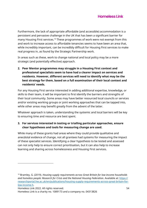Furthermore, the lack of appropriate affordable (and accessible) accommodation is a persistent and pervasive challenge in the UK that has been a significant barrier for many Housing First services.<sup>10</sup> These programmes of work were not exempt from this and work to increase access to affordable tenancies seems to have been an area that, while incredibly important, can be incredibly difficult for Housing First services to make real progress in, as found by the Strategic Partnership work.

In areas such as these, work to change national and local policy may be a more strategic (and potentially effective) approach.

**2. Peer Mentor programmes may struggle in a Housing First context and professional specialists seem to have had a clearer impact on services and residents. However, different services will need to identify what may be the best strategy for them, based on a full examination of their local context and residents' needs.**

For any Housing First service interested in adding additional expertise, knowledge, or skills to their team, it will be important to first identify the barriers and strengths of their local community. Some areas may have better resourced local councils or services and/or existing working groups or joint working approaches that can be tapped into, while other areas may benefit greatly from the advent of the latter.

Whatever approach is taken, understanding the systemic and local barriers will be key to ensuring time and resource are best spent.

## **3. For services interested in testing or trialling particular approaches, ensure clear hypotheses and tools for measuring change are used.**

While many of these grants had areas where they could provide qualitative and anecdotal evidence of change, not all grantees had systems for measuring the impact of these specialist services. Identifying a clear hypothesis to be tested and assessed can not only help to ensure correct prioritisation, but it can also help to increase learning and sharing across homelessness and Housing First services.

Homeless Link 2022. All rights reserved. 54

<sup>10</sup> Bramley, G. (2019). *Housing supply requirements across Great Britain for low-income households*  and homeless people: Research for Crisis and the National Housing Federation. Available at: [https://](https://researchportal.hw.ac.uk/en/publications/housing-supply-requirements-across-great-britain-for-low-income-h) [researchportal.hw.ac.uk/en/publications/housing-supply-requirements-across-great-britain-for](https://researchportal.hw.ac.uk/en/publications/housing-supply-requirements-across-great-britain-for-low-income-h)[low-income-h.](https://researchportal.hw.ac.uk/en/publications/housing-supply-requirements-across-great-britain-for-low-income-h)

Homeless Link is a charity no. 1089173 and a company no. 04313826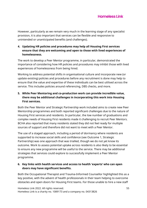However, particularly as we remain very much in the learning stage of any specialist provision, it is also important that services can be flexible and responsive to unintended or unanticipated benefits (and challenges).

## **4. Updating HR policies and procedures may help all Housing First services ensure that they are welcoming and open to those with lived experiences of homelessness.**

The work to develop a Peer Mentor programme, in particular, demonstrated the importance of considering how HR policies and procedures may inhibit those with lived experiences of homelessness from being hired.

Working to address potential shifts in organisational culture and incorporate new (or update existing) policies and procedures before any recruitment is done may help to ensure that the value and expertise of these individuals can be best utilised across the service. This includes policies around referencing, DBS checks, and more.

## **5. While Peer Mentoring and co-production work can provide incredible value, there may be additional challenges in incorporating this work into Housing First services.**

Both the Peer Mentor and Strategic Partnership work included aims to create new Peer Mentorship programmes and both reported significant challenges due to the nature of Housing First services and residents. In particular, the low number of graduations and complex needs of Housing First residents made it challenging to recruit Peer Mentors. BCHA also reported that many residents stated they did not feel ready for multiple sources of support and therefore did not want to meet with a Peer Mentor.

The use of a staged approach, including a period of dormancy where residents are supported to increase social skills and confidence (see Outcome 1, Strategic Partnership) was one approach that was trialled, though we do not yet know its outcome. Work to assess potential uptake across residents is also likely to be essential to ensure any new programme will be useful to the service. There may be additional strategies that services could explore to successfully implement a Peer Mentor programme.

## **6. Key links with health services and access to health 'experts' who can open doors may have significant benefits.**

Both the Occupational Therapist and Trauma-Informed Counsellor highlighted this as a key positive, with the advent of health professionals in their team helping to overcome obstacles and open doors for Housing First teams. For those unable to hire a new staff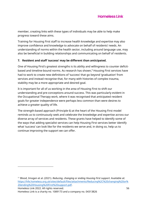member, creating links with these types of individuals may be able to help make progress toward these aims.

Training for Housing First staff to increase health knowledge and expertise may also improve confidence and knowledge to advocate on behalf of residents' needs. An understanding of norms within the health sector, including around language use, may also be beneficial in building relationships and communicating on behalf of residents.

## **7. Resident and staff 'success' may be different than anticipated.**

One of Housing First's greatest strengths is its ability and willingness to counter deficitbased and timeline-bound norms. As research has shown,<sup>11</sup> Housing First services have had to work to create new definitions of 'success' that go beyond 'graduation' from services and instead recognise that, for many with histories of complex trauma, stability may be a more appropriate and desired goal.

It is important for all of us working in the area of Housing First to shift our understanding and pre-conceptions around success. This was particularly evident in the Occupational Therapy work, where it was recognised that anticipated resident goals for greater independence were perhaps less common than were desires to achieve a greater quality of life.

The strength-based approach (Principle 6) at the heart of the Housing First model reminds us to continuously seek and celebrate the knowledge and expertise across our diverse array of services and residents. These grants have helped to identify some of the ways that adding specialist services can help Housing First services better identify what 'success' can look like for the residents we serve and, in doing so, help us to continue improving the support we can offer.

Homeless Link 2022. All rights reserved. 56

<sup>11</sup> Blood, Imogen et al. (2021). *Reducing, changing or ending Housing First support*. Available at: [https://hfe.homeless.org.uk/sites/default/files/attachments/Reducing%2C%20changing%20or%](https://hfe.homeless.org.uk/sites/default/files/attachments/Reducing%2C%20changing%20or%20ending%20Housing%20First%20support.pdf) [20ending%20Housing%20First%20support.pdf.](https://hfe.homeless.org.uk/sites/default/files/attachments/Reducing%2C%20changing%20or%20ending%20Housing%20First%20support.pdf)

Homeless Link is a charity no. 1089173 and a company no. 04313826